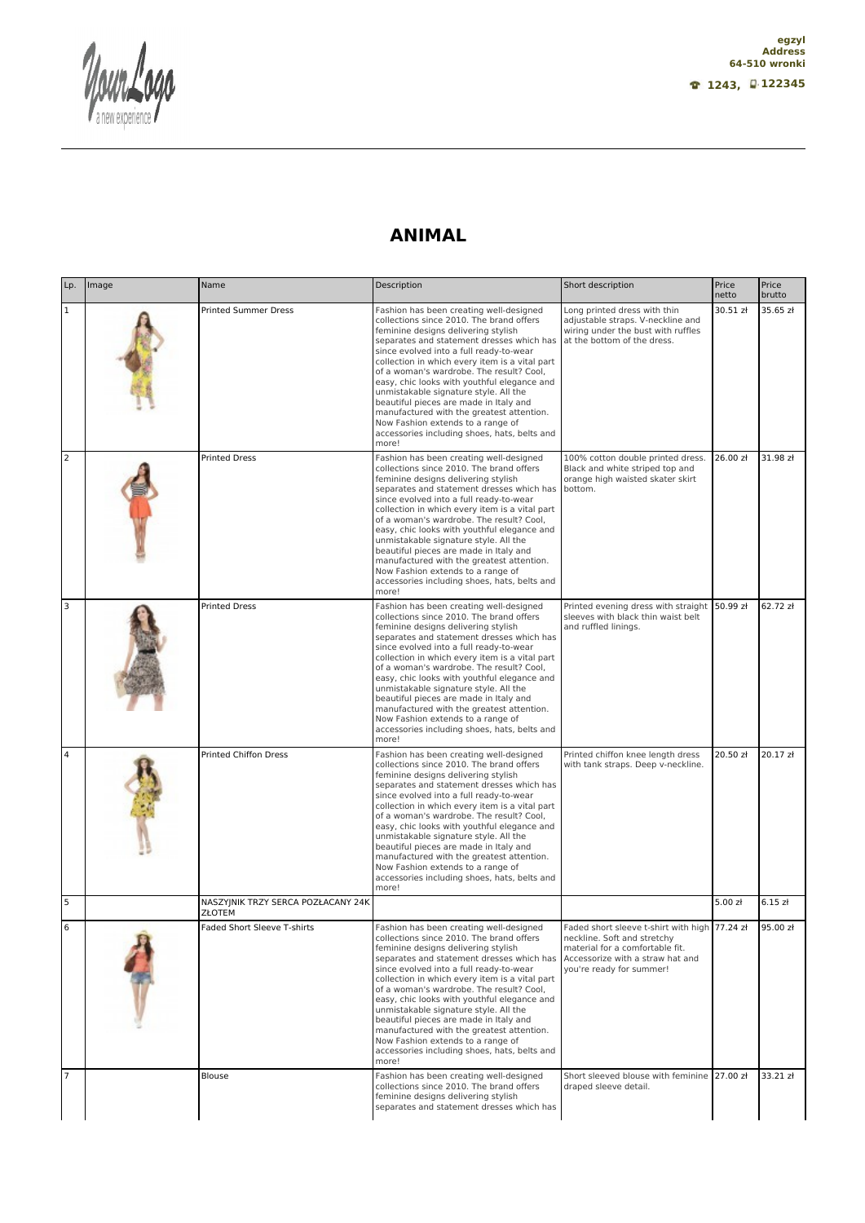Nour. a new exper

## **ANIMAL**

| Lp.            | Image | Name                                         | Description                                                                                                                                                                                                                                                                                                                                                                                                                                                                                                                                                                                   | Short description                                                                                                                                                               | Price<br>netto | Price<br>brutto |
|----------------|-------|----------------------------------------------|-----------------------------------------------------------------------------------------------------------------------------------------------------------------------------------------------------------------------------------------------------------------------------------------------------------------------------------------------------------------------------------------------------------------------------------------------------------------------------------------------------------------------------------------------------------------------------------------------|---------------------------------------------------------------------------------------------------------------------------------------------------------------------------------|----------------|-----------------|
| $\mathbf 1$    |       | <b>Printed Summer Dress</b>                  | Fashion has been creating well-designed<br>collections since 2010. The brand offers<br>feminine designs delivering stylish<br>separates and statement dresses which has<br>since evolved into a full ready-to-wear<br>collection in which every item is a vital part<br>of a woman's wardrobe. The result? Cool,<br>easy, chic looks with youthful elegance and<br>unmistakable signature style. All the<br>beautiful pieces are made in Italy and<br>manufactured with the greatest attention.<br>Now Fashion extends to a range of<br>accessories including shoes, hats, belts and<br>more! | Long printed dress with thin<br>adjustable straps. V-neckline and<br>wiring under the bust with ruffles<br>at the bottom of the dress.                                          | 30.51 zł       | 35.65 zł        |
| $\overline{2}$ |       | <b>Printed Dress</b>                         | Fashion has been creating well-designed<br>collections since 2010. The brand offers<br>feminine designs delivering stylish<br>separates and statement dresses which has<br>since evolved into a full ready-to-wear<br>collection in which every item is a vital part<br>of a woman's wardrobe. The result? Cool,<br>easy, chic looks with youthful elegance and<br>unmistakable signature style. All the<br>beautiful pieces are made in Italy and<br>manufactured with the greatest attention.<br>Now Fashion extends to a range of<br>accessories including shoes, hats, belts and<br>more! | 100% cotton double printed dress.<br>Black and white striped top and<br>orange high waisted skater skirt<br>bottom.                                                             | 26.00 zł       | 31.98 zł        |
| 3              |       | <b>Printed Dress</b>                         | Fashion has been creating well-designed<br>collections since 2010. The brand offers<br>feminine designs delivering stylish<br>separates and statement dresses which has<br>since evolved into a full ready-to-wear<br>collection in which every item is a vital part<br>of a woman's wardrobe. The result? Cool,<br>easy, chic looks with youthful elegance and<br>unmistakable signature style. All the<br>beautiful pieces are made in Italy and<br>manufactured with the greatest attention.<br>Now Fashion extends to a range of<br>accessories including shoes, hats, belts and<br>more! | Printed evening dress with straight 50.99 zł<br>sleeves with black thin waist belt<br>and ruffled linings.                                                                      |                | 62.72 zł        |
| $\overline{4}$ |       | <b>Printed Chiffon Dress</b>                 | Fashion has been creating well-designed<br>collections since 2010. The brand offers<br>feminine designs delivering stylish<br>separates and statement dresses which has<br>since evolved into a full ready-to-wear<br>collection in which every item is a vital part<br>of a woman's wardrobe. The result? Cool,<br>easy, chic looks with youthful elegance and<br>unmistakable signature style. All the<br>beautiful pieces are made in Italy and<br>manufactured with the greatest attention.<br>Now Fashion extends to a range of<br>accessories including shoes, hats, belts and<br>more! | Printed chiffon knee length dress<br>with tank straps. Deep v-neckline.                                                                                                         | 20.50 zł       | 20.17 zł        |
| 5              |       | NASZYINIK TRZY SERCA POZŁACANY 24K<br>ZŁOTEM |                                                                                                                                                                                                                                                                                                                                                                                                                                                                                                                                                                                               |                                                                                                                                                                                 | 5.00 zł        | 6.15 zt         |
|                |       | Faded Short Sleeve T-shirts                  | Fashion has been creating well-designed<br>collections since 2010. The brand offers<br>feminine designs delivering stylish<br>separates and statement dresses which has<br>since evolved into a full ready-to-wear<br>collection in which every item is a vital part<br>of a woman's wardrobe. The result? Cool.<br>easy, chic looks with youthful elegance and<br>unmistakable signature style. All the<br>beautiful pieces are made in Italy and<br>manufactured with the greatest attention.<br>Now Fashion extends to a range of<br>accessories including shoes, hats, belts and<br>more! | Faded short sleeve t-shirt with high 77.24 zł<br>neckline. Soft and stretchy<br>material for a comfortable fit.<br>Accessorize with a straw hat and<br>you're ready for summer! |                | 95.00 zł        |
| $\overline{7}$ |       | Blouse                                       | Fashion has been creating well-designed<br>collections since 2010. The brand offers<br>feminine designs delivering stylish<br>separates and statement dresses which has                                                                                                                                                                                                                                                                                                                                                                                                                       | Short sleeved blouse with feminine 27.00 zł<br>draped sleeve detail.                                                                                                            |                | 33.21 zł        |